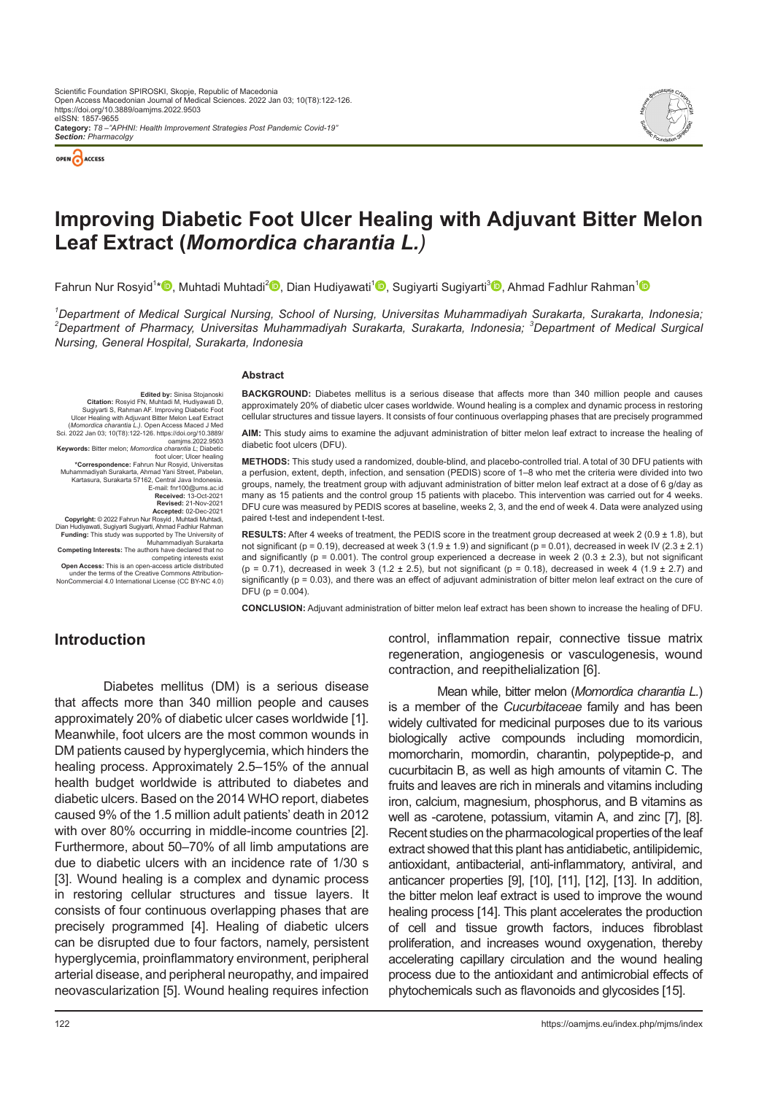



# **Improving Diabetic Foot Ulcer Healing with Adjuvant Bitter Melon Leaf Extract (***Momordica charantia L.)*

Fahrun Nur Rosyid<sup>1</sup>[\\*](https://orcid.org/0000-0001-8300-8996)<sup>®</sup>[,](https://orcid.org/0000-0002-8044-8950
) Muhtadi Muhtadi<sup>2®</sup>, Dian Hudiyawati<sup>[1](https://orcid.org/0000-0002-3107-3435)®</sup>, Sugiyarti Sugiyarti<sup>3®</sup>, Ahmad Fadhlur Rahman<sup>1</sup>

*1 Department of Medical Surgical Nursing, School of Nursing, Universitas Muhammadiyah Surakarta, Surakarta, Indonesia; 2 Department of Pharmacy, Universitas Muhammadiyah Surakarta, Surakarta, Indonesia; <sup>3</sup> Department of Medical Surgical Nursing, General Hospital, Surakarta, Indonesia*

#### **Abstract**

diabetic foot ulcers (DFU). Edited by: Sinisa Stojanoski<br>Citation: Rosyid FN, Muhtadi M, Hudiyawati D,<br>Sugiyarti S, Rahman AF. Improving Diabetic Foot<br>Ulcer Healing with Adjuvant Bitter Melon Leaf Extract<br>(*Momordica charantia L.)*. Open Access Maced Sci. 2022 Jan 03; 10(T8):122-126. https://doi.org/10.3889/ oamjms.2022.9503 **Keywords:** Bitter melon; *Momordica charantia L*; Diabetic foot ulcer; Ulcer healing **\*Correspondence:** Fahrun Nur Rosyid, Universitas Muhammadiyah Surakarta, Ahmad Yani Street, Pabelan, Kartasura, Surakarta 57162, Central Java Indonesia. E-mail: fnr100@ums.ac.id **Received:** 13-Oct-2021 **Revised:** 21-Nov-2021 **Accepted:** 02-Dec-2021

**BACKGROUND:** Diabetes mellitus is a serious disease that affects more than 340 million people and causes approximately 20% of diabetic ulcer cases worldwide. Wound healing is a complex and dynamic process in restoring cellular structures and tissue layers. It consists of four continuous overlapping phases that are precisely programmed

**AIM:** This study aims to examine the adjuvant administration of bitter melon leaf extract to increase the healing of

**METHODS:** This study used a randomized, double-blind, and placebo-controlled trial. A total of 30 DFU patients with a perfusion, extent, depth, infection, and sensation (PEDIS) score of 1–8 who met the criteria were divided into two groups, namely, the treatment group with adjuvant administration of bitter melon leaf extract at a dose of 6 g/day as many as 15 patients and the control group 15 patients with placebo. This intervention was carried out for 4 weeks. DFU cure was measured by PEDIS scores at baseline, weeks 2, 3, and the end of week 4. Data were analyzed using paired t-test and independent t-test.

**RESULTS:** After 4 weeks of treatment, the PEDIS score in the treatment group decreased at week 2 (0.9 ± 1.8), but not significant (p = 0.19), decreased at week 3 (1.9 ± 1.9) and significant (p = 0.01), decreased in week IV (2.3 ± 2.1) and significantly (p = 0.001). The control group experienced a decrease in week 2 (0.3  $\pm$  2.3), but not significant (p = 0.71), decreased in week 3 (1.2 ± 2.5), but not significant (p = 0.18), decreased in week 4 (1.9 ± 2.7) and significantly (p = 0.03), and there was an effect of adjuvant administration of bitter melon leaf extract on the cure of DFU ( $p = 0.004$ ).

**CONCLUSION:** Adjuvant administration of bitter melon leaf extract has been shown to increase the healing of DFU.

# **Introduction**

**Copyright:** © 2022 Fahrun Nur Rosyid , Muhtadi Muhtadi, Dian Hudiyawati, Sugiyarti Sugiyarti, Ahmad Fadhlur Rahman **Funding:** This study was supported by The University of Muhammadiyah Surakarta **Competing Interests:** The authors have declared that no competing interests exist **Open Access:** This is an open-access article distributed under the terms of the Creative Commons Attribution-NonCommercial 4.0 International License (CC BY-NC 4.0)

Diabetes mellitus (DM) is a serious disease that affects more than 340 million people and causes approximately 20% of diabetic ulcer cases worldwide [1]. Meanwhile, foot ulcers are the most common wounds in DM patients caused by hyperglycemia, which hinders the healing process. Approximately 2.5–15% of the annual health budget worldwide is attributed to diabetes and diabetic ulcers. Based on the 2014 WHO report, diabetes caused 9% of the 1.5 million adult patients' death in 2012 with over 80% occurring in middle-income countries [2]. Furthermore, about 50–70% of all limb amputations are due to diabetic ulcers with an incidence rate of 1/30 s [3]. Wound healing is a complex and dynamic process in restoring cellular structures and tissue layers. It consists of four continuous overlapping phases that are precisely programmed [4]. Healing of diabetic ulcers can be disrupted due to four factors, namely, persistent hyperglycemia, proinflammatory environment, peripheral arterial disease, and peripheral neuropathy, and impaired neovascularization [5]. Wound healing requires infection

control, inflammation repair, connective tissue matrix regeneration, angiogenesis or vasculogenesis, wound contraction, and reepithelialization [6].

Mean while, bitter melon (*Momordica charantia L.*) is a member of the *Cucurbitaceae* family and has been widely cultivated for medicinal purposes due to its various biologically active compounds including momordicin, momorcharin, momordin, charantin, polypeptide-p, and cucurbitacin B, as well as high amounts of vitamin C. The fruits and leaves are rich in minerals and vitamins including iron, calcium, magnesium, phosphorus, and B vitamins as well as -carotene, potassium, vitamin A, and zinc [7], [8]. Recent studies on the pharmacological properties of the leaf extract showed that this plant has antidiabetic, antilipidemic, antioxidant, antibacterial, anti-inflammatory, antiviral, and anticancer properties [9], [10], [11], [12], [13]. In addition, the bitter melon leaf extract is used to improve the wound healing process [14]. This plant accelerates the production of cell and tissue growth factors, induces fibroblast proliferation, and increases wound oxygenation, thereby accelerating capillary circulation and the wound healing process due to the antioxidant and antimicrobial effects of phytochemicals such as flavonoids and glycosides [15].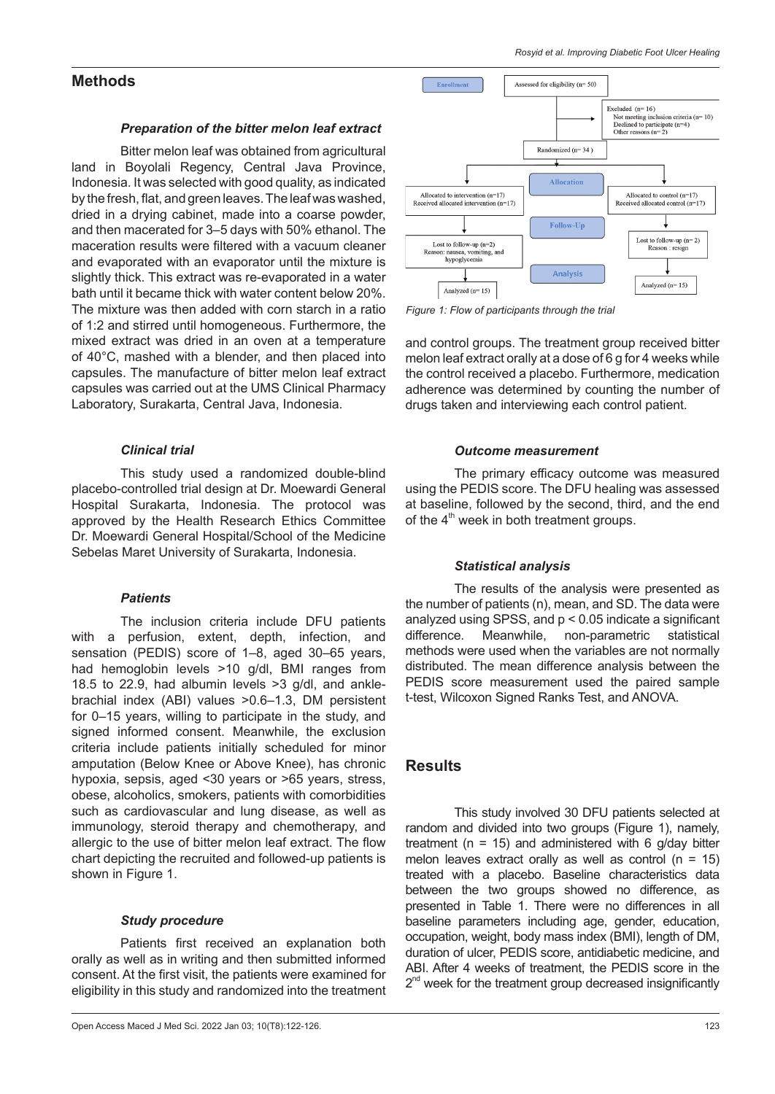# **Methods**

#### *Preparation of the bitter melon leaf extract*

Bitter melon leaf was obtained from agricultural land in Boyolali Regency, Central Java Province, Indonesia. It was selected with good quality, as indicated by the fresh, flat, and green leaves. The leaf was washed, dried in a drying cabinet, made into a coarse powder, and then macerated for 3–5 days with 50% ethanol. The maceration results were filtered with a vacuum cleaner and evaporated with an evaporator until the mixture is slightly thick. This extract was re-evaporated in a water bath until it became thick with water content below 20%. The mixture was then added with corn starch in a ratio of 1:2 and stirred until homogeneous. Furthermore, the mixed extract was dried in an oven at a temperature of 40°C, mashed with a blender, and then placed into capsules. The manufacture of bitter melon leaf extract capsules was carried out at the UMS Clinical Pharmacy Laboratory, Surakarta, Central Java, Indonesia.

### *Clinical trial*

This study used a randomized double-blind placebo-controlled trial design at Dr. Moewardi General Hospital Surakarta, Indonesia. The protocol was approved by the Health Research Ethics Committee Dr. Moewardi General Hospital/School of the Medicine Sebelas Maret University of Surakarta, Indonesia.

#### *Patients*

The inclusion criteria include DFU patients with a perfusion, extent, depth, infection, and sensation (PEDIS) score of 1–8, aged 30–65 years, had hemoglobin levels >10 g/dl, BMI ranges from 18.5 to 22.9, had albumin levels >3 g/dl, and anklebrachial index (ABI) values >0.6–1.3, DM persistent for 0–15 years, willing to participate in the study, and signed informed consent. Meanwhile, the exclusion criteria include patients initially scheduled for minor amputation (Below Knee or Above Knee), has chronic hypoxia, sepsis, aged <30 years or >65 years, stress, obese, alcoholics, smokers, patients with comorbidities such as cardiovascular and lung disease, as well as immunology, steroid therapy and chemotherapy, and allergic to the use of bitter melon leaf extract. The flow chart depicting the recruited and followed-up patients is shown in Figure 1.

#### *Study procedure*

Patients first received an explanation both orally as well as in writing and then submitted informed consent. At the first visit, the patients were examined for eligibility in this study and randomized into the treatment



*Figure 1: Flow of participants through the trial*

and control groups. The treatment group received bitter melon leaf extract orally at a dose of 6 g for 4 weeks while the control received a placebo. Furthermore, medication adherence was determined by counting the number of drugs taken and interviewing each control patient.

#### *Outcome measurement*

The primary efficacy outcome was measured using the PEDIS score. The DFU healing was assessed at baseline, followed by the second, third, and the end of the  $4<sup>th</sup>$  week in both treatment groups.

### *Statistical analysis*

The results of the analysis were presented as the number of patients (n), mean, and SD. The data were analyzed using SPSS, and p < 0.05 indicate a significant difference. Meanwhile, non-parametric statistical methods were used when the variables are not normally distributed. The mean difference analysis between the PEDIS score measurement used the paired sample t-test, Wilcoxon Signed Ranks Test, and ANOVA.

# **Results**

This study involved 30 DFU patients selected at random and divided into two groups (Figure 1), namely, treatment ( $n = 15$ ) and administered with 6 g/day bitter melon leaves extract orally as well as control  $(n = 15)$ treated with a placebo. Baseline characteristics data between the two groups showed no difference, as presented in Table 1. There were no differences in all baseline parameters including age, gender, education, occupation, weight, body mass index (BMI), length of DM, duration of ulcer, PEDIS score, antidiabetic medicine, and ABI. After 4 weeks of treatment, the PEDIS score in the  $2<sup>nd</sup>$  week for the treatment group decreased insignificantly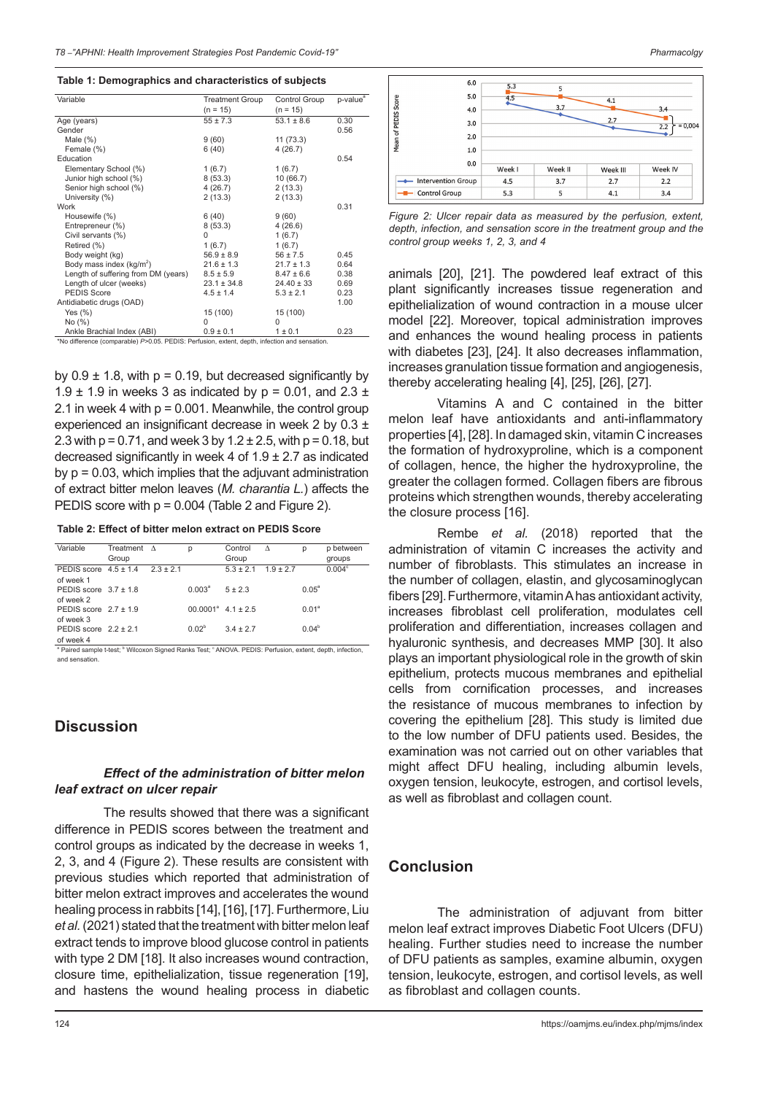#### **Table 1: Demographics and characteristics of subjects**

| Variable                                                                                      | <b>Treatment Group</b> | Control Group  | p-value <sup>a</sup> |  |  |  |  |
|-----------------------------------------------------------------------------------------------|------------------------|----------------|----------------------|--|--|--|--|
|                                                                                               | $(n = 15)$             | $(n = 15)$     |                      |  |  |  |  |
| Age (years)                                                                                   | $55 \pm 7.3$           | $53.1 \pm 8.6$ | 0.30                 |  |  |  |  |
| Gender                                                                                        |                        |                | 0.56                 |  |  |  |  |
| Male $(\%)$                                                                                   | 9(60)                  | 11(73.3)       |                      |  |  |  |  |
| Female (%)                                                                                    | 6(40)                  | 4(26.7)        |                      |  |  |  |  |
| Education                                                                                     |                        |                | 0.54                 |  |  |  |  |
| Elementary School (%)                                                                         | 1(6.7)                 | 1(6.7)         |                      |  |  |  |  |
| Junior high school (%)                                                                        | 8(53.3)                | 10 (66.7)      |                      |  |  |  |  |
| Senior high school (%)                                                                        | 4(26.7)                | 2(13.3)        |                      |  |  |  |  |
| University (%)                                                                                | 2(13.3)                | 2(13.3)        |                      |  |  |  |  |
| Work                                                                                          |                        |                | 0.31                 |  |  |  |  |
| Housewife (%)                                                                                 | 6(40)                  | 9(60)          |                      |  |  |  |  |
| Entrepreneur (%)                                                                              | 8(53.3)                | 4(26.6)        |                      |  |  |  |  |
| Civil servants (%)                                                                            | 0                      | 1(6.7)         |                      |  |  |  |  |
| Retired (%)                                                                                   | 1(6.7)                 | 1(6.7)         |                      |  |  |  |  |
| Body weight (kg)                                                                              | $56.9 \pm 8.9$         | $56 \pm 7.5$   | 0.45                 |  |  |  |  |
| Body mass index $(kg/m^2)$                                                                    | $21.6 \pm 1.3$         | $21.7 \pm 1.3$ | 0.64                 |  |  |  |  |
| Length of suffering from DM (years)                                                           | $8.5 \pm 5.9$          | $8.47 \pm 6.6$ | 0.38                 |  |  |  |  |
| Length of ulcer (weeks)                                                                       | $23.1 \pm 34.8$        | $24.40 \pm 33$ | 0.69                 |  |  |  |  |
| <b>PEDIS Score</b>                                                                            | $4.5 \pm 1.4$          | $5.3 \pm 2.1$  | 0.23                 |  |  |  |  |
| Antidiabetic drugs (OAD)                                                                      |                        |                | 1.00                 |  |  |  |  |
| Yes $(\%)$                                                                                    | 15 (100)               | 15 (100)       |                      |  |  |  |  |
| No (%)                                                                                        | 0                      | $\Omega$       |                      |  |  |  |  |
| Ankle Brachial Index (ABI)                                                                    | $0.9 \pm 0.1$          | $1 \pm 0.1$    | 0.23                 |  |  |  |  |
| *No difference (comparable) P>0.05. PEDIS: Perfusion, extent, depth, infection and sensation. |                        |                |                      |  |  |  |  |

by  $0.9 \pm 1.8$ , with  $p = 0.19$ , but decreased significantly by 1.9  $\pm$  1.9 in weeks 3 as indicated by p = 0.01, and 2.3  $\pm$ 2.1 in week 4 with  $p = 0.001$ . Meanwhile, the control group experienced an insignificant decrease in week 2 by 0.3 ± 2.3 with  $p = 0.71$ , and week 3 by  $1.2 \pm 2.5$ , with  $p = 0.18$ , but decreased significantly in week 4 of 1.9 ± 2.7 as indicated by  $p = 0.03$ , which implies that the adjuvant administration of extract bitter melon leaves (*M. charantia L.*) affects the PEDIS score with p = 0.004 (Table 2 and Figure 2).

#### **Table 2: Effect of bitter melon extract on PEDIS Score**

| Variable                                | Treatment $\Lambda$ | р                     | Control       | Δ             | р              | p between          |
|-----------------------------------------|---------------------|-----------------------|---------------|---------------|----------------|--------------------|
|                                         | Group               |                       | Group         |               |                | groups             |
| PEDIS score $4.5 \pm 1.4$ $2.3 \pm 2.1$ |                     |                       | $5.3 \pm 2.1$ | $1.9 \pm 2.7$ |                | 0.004 <sup>c</sup> |
| of week 1                               |                     |                       |               |               |                |                    |
| PEDIS score $3.7 \pm 1.8$               |                     | $0.003^a$             | $5 + 2.3$     |               | $0.05^{\circ}$ |                    |
| of week 2                               |                     |                       |               |               |                |                    |
| PEDIS score $2.7 \pm 1.9$               |                     | $00.0001^a$ 4.1 ± 2.5 |               |               | $0.01^a$       |                    |
| of week 3                               |                     |                       |               |               |                |                    |
| PEDIS score $2.2 \pm 2.1$               |                     | 0.02 <sup>b</sup>     | $3.4 \pm 2.7$ |               | $0.04^{b}$     |                    |
| of week 4                               |                     |                       |               |               |                |                    |

of week 4<br>ª Paired sample t-test; <sup>ь</sup> Wilcoxon Signed Ranks Test; <sup>с</sup> ANOVA. PEDIS: Perfusion, extent, depth, infection, and sensation.

# **Discussion**

### *Effect of the administration of bitter melon leaf extract on ulcer repair*

The results showed that there was a significant difference in PEDIS scores between the treatment and control groups as indicated by the decrease in weeks 1, 2, 3, and 4 (Figure 2). These results are consistent with previous studies which reported that administration of bitter melon extract improves and accelerates the wound healing process in rabbits [14], [16], [17]. Furthermore, Liu *et al.* (2021) stated that the treatment with bitter melon leaf extract tends to improve blood glucose control in patients with type 2 DM [18]. It also increases wound contraction, closure time, epithelialization, tissue regeneration [19], and hastens the wound healing process in diabetic



Week III

 $2.7$ 

 $4.1$ 

*Figure 2: Ulcer repair data as measured by the perfusion, extent, depth, infection, and sensation score in the treatment group and the control group weeks 1, 2, 3, and 4*

Week I

 $3.7$ 

 $\overline{5}$ 

Mean of PEDIS Score

 $0.0$ 

Intervention Group

--<br>-- Control Group

Week I

 $4.5$ 

 $5.3$ 

animals [20], [21]. The powdered leaf extract of this plant significantly increases tissue regeneration and epithelialization of wound contraction in a mouse ulcer model [22]. Moreover, topical administration improves and enhances the wound healing process in patients with diabetes [23], [24]. It also decreases inflammation, increases granulation tissue formation and angiogenesis, thereby accelerating healing [4], [25], [26], [27].

Vitamins A and C contained in the bitter melon leaf have antioxidants and anti-inflammatory properties [4], [28]. In damaged skin, vitamin C increases the formation of hydroxyproline, which is a component of collagen, hence, the higher the hydroxyproline, the greater the collagen formed. Collagen fibers are fibrous proteins which strengthen wounds, thereby accelerating the closure process [16].

Rembe *et al.* (2018) reported that the administration of vitamin C increases the activity and number of fibroblasts. This stimulates an increase in the number of collagen, elastin, and glycosaminoglycan fibers [29]. Furthermore, vitamin A has antioxidant activity, increases fibroblast cell proliferation, modulates cell proliferation and differentiation, increases collagen and hyaluronic synthesis, and decreases MMP [30]. It also plays an important physiological role in the growth of skin epithelium, protects mucous membranes and epithelial cells from cornification processes, and increases the resistance of mucous membranes to infection by covering the epithelium [28]. This study is limited due to the low number of DFU patients used. Besides, the examination was not carried out on other variables that might affect DFU healing, including albumin levels, oxygen tension, leukocyte, estrogen, and cortisol levels, as well as fibroblast and collagen count.

### **Conclusion**

The administration of adjuvant from bitter melon leaf extract improves Diabetic Foot Ulcers (DFU) healing. Further studies need to increase the number of DFU patients as samples, examine albumin, oxygen tension, leukocyte, estrogen, and cortisol levels, as well as fibroblast and collagen counts.

Week IV

 $2.2$ 

 $3.4$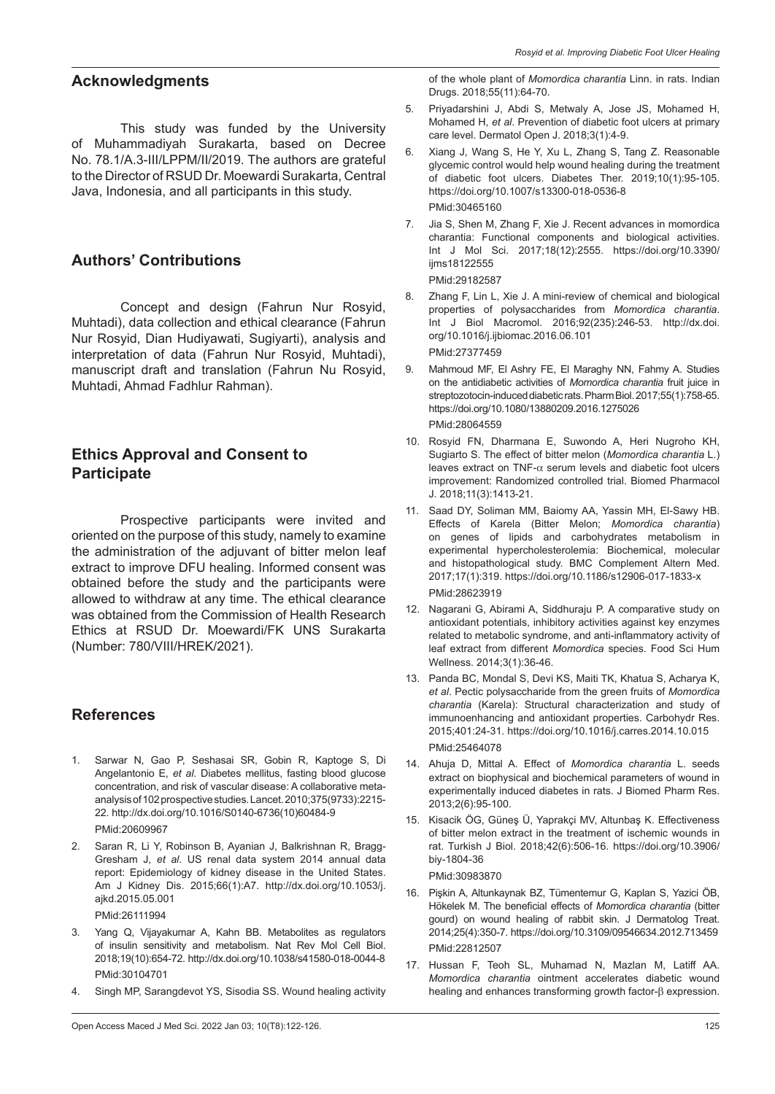# **Acknowledgments**

This study was funded by the University of Muhammadiyah Surakarta, based on Decree No. 78.1/A.3-III/LPPM/II/2019. The authors are grateful to the Director of RSUD Dr. Moewardi Surakarta, Central Java, Indonesia, and all participants in this study.

# **Authors' Contributions**

Concept and design (Fahrun Nur Rosyid, Muhtadi), data collection and ethical clearance (Fahrun Nur Rosyid, Dian Hudiyawati, Sugiyarti), analysis and interpretation of data (Fahrun Nur Rosyid, Muhtadi), manuscript draft and translation (Fahrun Nu Rosyid, Muhtadi, Ahmad Fadhlur Rahman).

# **Ethics Approval and Consent to Participate**

Prospective participants were invited and oriented on the purpose of this study, namely to examine the administration of the adjuvant of bitter melon leaf extract to improve DFU healing. Informed consent was obtained before the study and the participants were allowed to withdraw at any time. The ethical clearance was obtained from the Commission of Health Research Ethics at RSUD Dr. Moewardi/FK UNS Surakarta (Number: 780/VIII/HREK/2021).

# **References**

- 1. Sarwar N, Gao P, Seshasai SR, Gobin R, Kaptoge S, Di Angelantonio E, *et al*. Diabetes mellitus, fasting blood glucose concentration, and risk of vascular disease: A collaborative metaanalysis of 102 prospective studies. Lancet. 2010;375(9733):2215- 22. [http://dx.doi.org/10.1016/S0140-6736\(10\)60484-9](http://dx.doi.org/10.1016/S0140-6736(10)60484-9) PMid:20609967
- 2. Saran R, Li Y, Robinson B, Ayanian J, Balkrishnan R, Bragg-Gresham J, *et al*. US renal data system 2014 annual data report: Epidemiology of kidney disease in the United States. Am J Kidney Dis. 2015;66(1):A7. http://dx.doi.org/10.1053/j. ajkd.2015.05.001

PMid:26111994

- Yang Q, Vijayakumar A, Kahn BB. Metabolites as regulators of insulin sensitivity and metabolism. Nat Rev Mol Cell Biol. 2018;19(10):654-72. http://dx.doi.org/10.1038/s41580-018-0044-8 PMid:30104701
- 4. Singh MP, Sarangdevot YS, Sisodia SS. Wound healing activity

of the whole plant of *Momordica charantia* Linn. in rats. Indian Drugs. 2018;55(11):64-70.

- 5. Priyadarshini J, Abdi S, Metwaly A, Jose JS, Mohamed H, Mohamed H, *et al*. Prevention of diabetic foot ulcers at primary care level. Dermatol Open J. 2018;3(1):4-9.
- 6. Xiang J, Wang S, He Y, Xu L, Zhang S, Tang Z. Reasonable glycemic control would help wound healing during the treatment of diabetic foot ulcers. Diabetes Ther. 2019;10(1):95-105. https://doi.org/10.1007/s13300-018-0536-8 PMid:30465160
- 7. Jia S, Shen M, Zhang F, Xie J. Recent advances in momordica charantia: Functional components and biological activities. Int J Mol Sci. 2017;18(12):2555. https://doi.org/10.3390/ iims18122555

PMid:29182587

- 8. Zhang F, Lin L, Xie J. A mini-review of chemical and biological properties of polysaccharides from *Momordica charantia*. Int J Biol Macromol. 2016;92(235):246-53. http://dx.doi. org/10.1016/j.ijbiomac.2016.06.101 PMid:27377459
- 9. Mahmoud MF, El Ashry FE, El Maraghy NN, Fahmy A. Studies on the antidiabetic activities of *Momordica charantia* fruit juice in streptozotocin-induced diabetic rats. Pharm Biol. 2017;55(1):758-65. https://doi.org/10.1080/13880209.2016.1275026 PMid:28064559
- 10. Rosyid FN, Dharmana E, Suwondo A, Heri Nugroho KH, Sugiarto S. The effect of bitter melon (*Momordica charantia* L.) leaves extract on TNF- $\alpha$  serum levels and diabetic foot ulcers improvement: Randomized controlled trial. Biomed Pharmacol J. 2018;11(3):1413-21.
- 11. Saad DY, Soliman MM, Baiomy AA, Yassin MH, El-Sawy HB. Effects of Karela (Bitter Melon; *Momordica charantia*) on genes of lipids and carbohydrates metabolism in experimental hypercholesterolemia: Biochemical, molecular and histopathological study. BMC Complement Altern Med. 2017;17(1):319. https://doi.org/10.1186/s12906-017-1833-x PMid:28623919
- 12. Nagarani G, Abirami A, Siddhuraju P. A comparative study on antioxidant potentials, inhibitory activities against key enzymes related to metabolic syndrome, and anti-inflammatory activity of leaf extract from different *Momordica* species. Food Sci Hum Wellness. 2014;3(1):36-46.
- 13. Panda BC, Mondal S, Devi KS, Maiti TK, Khatua S, Acharya K, *et al*. Pectic polysaccharide from the green fruits of *Momordica charantia* (Karela): Structural characterization and study of immunoenhancing and antioxidant properties. Carbohydr Res. 2015;401:24-31. https://doi.org/10.1016/j.carres.2014.10.015 PMid:25464078
- 14. Ahuja D, Mittal A. Effect of *Momordica charantia* L. seeds extract on biophysical and biochemical parameters of wound in experimentally induced diabetes in rats. J Biomed Pharm Res. 2013;2(6):95-100.
- 15. Kisacik ÖG, Güneş Ü, Yaprakçi MV, Altunbaş K. Effectiveness of bitter melon extract in the treatment of ischemic wounds in rat. Turkish J Biol. 2018;42(6):506-16. https://doi.org/10.3906/ biy-1804-36

PMid:30983870

- 16. Pişkin A, Altunkaynak BZ, Tümentemur G, Kaplan S, Yazici ÖB, Hökelek M. The beneficial effects of *Momordica charantia* (bitter gourd) on wound healing of rabbit skin. J Dermatolog Treat. 2014;25(4):350-7. https://doi.org/10.3109/09546634.2012.713459 PMid:22812507
- 17. Hussan F, Teoh SL, Muhamad N, Mazlan M, Latiff AA. *Momordica charantia* ointment accelerates diabetic wound healing and enhances transforming growth factor-β expression.